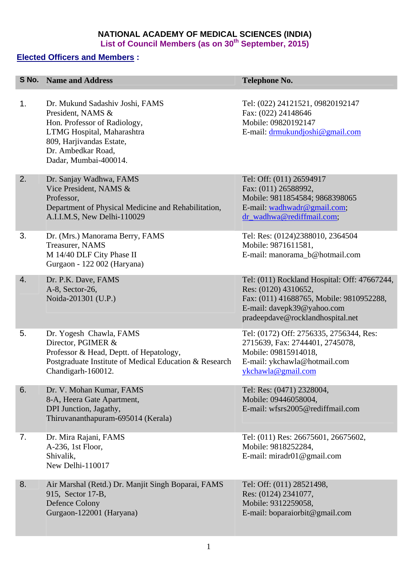## **NATIONAL ACADEMY OF MEDICAL SCIENCES (INDIA)**  List of Council Members (as on 30<sup>th</sup> September, 2015)

## **Elected Officers and Members :**

|    | <b>S No. Name and Address</b>                                                                                                                                                                 | <b>Telephone No.</b>                                                                                                                                                               |
|----|-----------------------------------------------------------------------------------------------------------------------------------------------------------------------------------------------|------------------------------------------------------------------------------------------------------------------------------------------------------------------------------------|
| 1. | Dr. Mukund Sadashiv Joshi, FAMS<br>President, NAMS &<br>Hon. Professor of Radiology,<br>LTMG Hospital, Maharashtra<br>809, Harjivandas Estate,<br>Dr. Ambedkar Road,<br>Dadar, Mumbai-400014. | Tel: (022) 24121521, 09820192147<br>Fax: (022) 24148646<br>Mobile: 09820192147<br>E-mail: drmukundjoshi@gmail.com                                                                  |
| 2. | Dr. Sanjay Wadhwa, FAMS<br>Vice President, NAMS &<br>Professor,<br>Department of Physical Medicine and Rehabilitation,<br>A.I.I.M.S, New Delhi-110029                                         | Tel: Off: (011) 26594917<br>Fax: (011) 26588992,<br>Mobile: 9811854584; 9868398065<br>E-mail: wadhwadr@gmail.com;<br>dr_wadhwa@rediffmail.com;                                     |
| 3. | Dr. (Mrs.) Manorama Berry, FAMS<br>Treasurer, NAMS<br>M 14/40 DLF City Phase II<br>Gurgaon - 122 002 (Haryana)                                                                                | Tel: Res: (0124)2388010, 2364504<br>Mobile: 9871611581,<br>E-mail: manorama_b@hotmail.com                                                                                          |
| 4. | Dr. P.K. Dave, FAMS<br>A-8, Sector-26,<br>Noida-201301 (U.P.)                                                                                                                                 | Tel: (011) Rockland Hospital: Off: 47667244,<br>Res: (0120) 4310652,<br>Fax: (011) 41688765, Mobile: 9810952288,<br>E-mail: davepk39@yahoo.com<br>pradeepdave@rocklandhospital.net |
| 5. | Dr. Yogesh Chawla, FAMS<br>Director, PGIMER &<br>Professor & Head, Deptt. of Hepatology,<br>Postgraduate Institute of Medical Education & Research<br>Chandigarh-160012.                      | Tel: (0172) Off: 2756335, 2756344, Res:<br>2715639, Fax: 2744401, 2745078,<br>Mobile: 09815914018,<br>E-mail: ykchawla@hotmail.com<br>ykchawla@gmail.com                           |
| 6. | Dr. V. Mohan Kumar, FAMS<br>8-A, Heera Gate Apartment,<br>DPI Junction, Jagathy,<br>Thiruvananthapuram-695014 (Kerala)                                                                        | Tel: Res: (0471) 2328004,<br>Mobile: 09446058004,<br>E-mail: wfsrs2005@rediffmail.com                                                                                              |
| 7. | Dr. Mira Rajani, FAMS<br>A-236, 1st Floor,<br>Shivalik,<br>New Delhi-110017                                                                                                                   | Tel: (011) Res: 26675601, 26675602,<br>Mobile: 9818252284,<br>E-mail: miradr01 $@$ gmail.com                                                                                       |
| 8. | Air Marshal (Retd.) Dr. Manjit Singh Boparai, FAMS<br>915, Sector 17-B,<br>Defence Colony<br>Gurgaon-122001 (Haryana)                                                                         | Tel: Off: (011) 28521498,<br>Res: (0124) 2341077,<br>Mobile: 9312259058,<br>E-mail: boparaiorbit@gmail.com                                                                         |